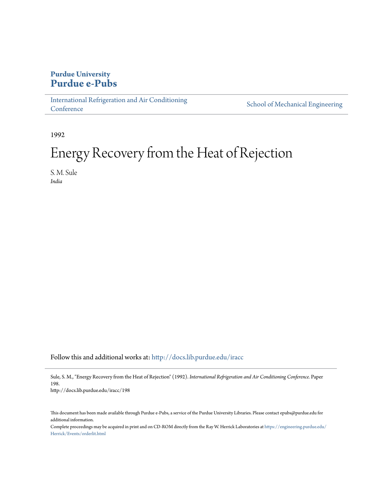# **Purdue University [Purdue e-Pubs](http://docs.lib.purdue.edu?utm_source=docs.lib.purdue.edu%2Firacc%2F198&utm_medium=PDF&utm_campaign=PDFCoverPages)**

[International Refrigeration and Air Conditioning](http://docs.lib.purdue.edu/iracc?utm_source=docs.lib.purdue.edu%2Firacc%2F198&utm_medium=PDF&utm_campaign=PDFCoverPages) **[Conference](http://docs.lib.purdue.edu/iracc?utm_source=docs.lib.purdue.edu%2Firacc%2F198&utm_medium=PDF&utm_campaign=PDFCoverPages)** 

[School of Mechanical Engineering](http://docs.lib.purdue.edu/me?utm_source=docs.lib.purdue.edu%2Firacc%2F198&utm_medium=PDF&utm_campaign=PDFCoverPages)

1992

# Energy Recovery from the Heat of Rejection

S. M. Sule *India*

Follow this and additional works at: [http://docs.lib.purdue.edu/iracc](http://docs.lib.purdue.edu/iracc?utm_source=docs.lib.purdue.edu%2Firacc%2F198&utm_medium=PDF&utm_campaign=PDFCoverPages)

Sule, S. M., "Energy Recovery from the Heat of Rejection" (1992). *International Refrigeration and Air Conditioning Conference.* Paper 198.

http://docs.lib.purdue.edu/iracc/198

This document has been made available through Purdue e-Pubs, a service of the Purdue University Libraries. Please contact epubs@purdue.edu for additional information.

Complete proceedings may be acquired in print and on CD-ROM directly from the Ray W. Herrick Laboratories at [https://engineering.purdue.edu/](https://engineering.purdue.edu/Herrick/Events/orderlit.html) [Herrick/Events/orderlit.html](https://engineering.purdue.edu/Herrick/Events/orderlit.html)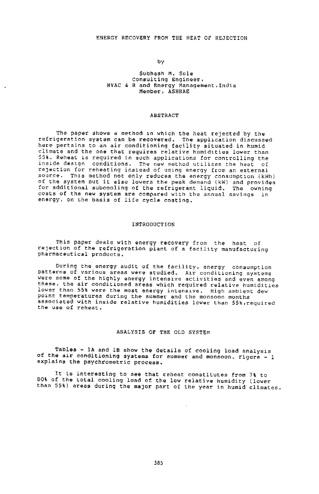by

#### Subhash M. Sule Consulting Engineer, HVAC & Rand Energy Management,India Member, ASHRAE

#### ABSTRACT

The paper shows a method in which the heat rejected by the refrigeration system can be recovered. The application discussed here pertains to an air conditioning facility situated in humid climate and the one that requires relative humidlties lower than 55%. Reheat is required in such applications for controlling the inside des1gn conditions. The new method utilizes the heat of reJection for reheating instead of us1ng energy from an external source. Thls method not only reduces the energy consumptlon (kWh) of the system but it also lowers the peak demand (kW) and provides for additional subcooling of the refrigerant liquid. The owning costs of the new system are compared with the annual savings in energy, on the basis of life cycle costing.

#### INTRODUCTION

This paper deals with energy recovery from the heat of reJection of the refrigeration plant of a facility manufacturing pharmaceutical products.

During the energy audit of the facility, energy consumption **patt@rns of various areas were studied. A1r conditioning systems**  were some of the highly energy intenslve activities and even among these, the air conditioned areas which required relative humidities lower than 55% were the most energy intens1ve. High ambient dew point temperatures during the summer and the monsoon months associated with inside relative humidities lower than 55%,reguired the use of reheat.

#### ANALYSIS OF THE OLD SYSTEM

Tables - lA and lB show the details of cooling load analysis of the air conditioning systems for summer and monsoon. Figure - 1 explains the psychrometric process.

It is interesting to see that reheat constitutes from 7% to 80% of the total cooling load of the low relative humidity (lower than 55%) areas during the major part of the year in humid climates.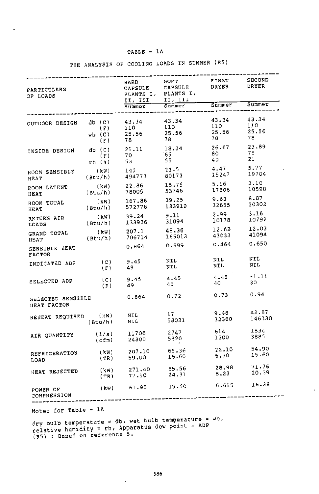| PARTICULARS<br>OF LOADS          |                          | HARD<br>CAPSULE<br>PLANTS I,<br>II, III | SOFT<br>CAPSULE<br>PLANTS I,<br>II, III | FIRST<br>DRYER<br>Summer    | <b>SECOND</b><br>DRYER<br>Summer |
|----------------------------------|--------------------------|-----------------------------------------|-----------------------------------------|-----------------------------|----------------------------------|
|                                  |                          | $S$ ummer                               | summer                                  |                             |                                  |
| OUTDOOR DESIGN db (C)            | (F)<br>$wb$ $(C)$<br>(F) | 43.34<br>110<br>25.56<br>78             | 43.34<br>110<br>25.56<br>78             | 43.34<br>110<br>25.56<br>78 | 43.34<br>110<br>25.56<br>78      |
| INSIDE DESIGN                    | $db$ $(C)$               | 21.11                                   | 18.34                                   | 26.67                       | 23.89                            |
|                                  | (F)                      | 70                                      | 65                                      | 80                          | 75                               |
|                                  | $rh$ $(*)$               | 53                                      | 55.                                     | 40                          | 21                               |
| ROOM SENSIBLE                    | (kW)                     | 145                                     | 23.5                                    | 4.47                        | 5.77                             |
| HEAT                             | (Btu/h)                  | 494773                                  | 80173                                   | 15247                       | 19704                            |
| ROOM LATENT                      | (kW)                     | 22.86                                   | 15.75                                   | 5.16                        | 3.10                             |
| HEAT                             | (Btu/h)                  | 78005                                   | 53746                                   | 17608                       | 10598                            |
| ROOM TOTAL                       | (kW)                     | 167.86                                  | 39.25                                   | 9.63                        | 8.87                             |
| HEAT                             | (Btu/h)                  | 572778                                  | 133919                                  | 32855                       | 30302                            |
| RETURN AIR                       | (kW)                     | 39.24                                   | 9.11                                    | 2,99                        | 3.16                             |
| LOADS                            | (Btu/h)                  | 133936                                  | 31094                                   | 10178                       | 10792                            |
| GRAND TOTAL                      | (kW)                     | 207.1                                   | 48.36                                   | 12.62                       | 12.03                            |
| HEAT                             | (Btu/h)                  | 706714                                  | 165013                                  | 43033                       | 41094                            |
| SENSIBLE HEAT<br><b>FACTOR</b>   |                          | 0.864                                   | 0.599                                   | 0.464                       | 0.650                            |
| INDICATED ADP                    | (C)                      | 9.45                                    | NIL                                     | NIL                         | NIL.                             |
|                                  | (F)                      | 49.                                     | NIL                                     | NIL.                        | NIL                              |
| SELECTED ADP                     | (C)                      | 9.45                                    | 4.45                                    | 4.45                        | $-1.11$                          |
|                                  | (F)                      | 49.                                     | 40                                      | 40                          | 30                               |
| SELECTED SENSIBLE<br>HEAT FACTOR |                          | 0.864                                   | 0.72                                    | 0.73                        | 0.94                             |
| REHEAT REQUIRED                  | (kW)                     | NIL                                     | 17                                      | 9.48                        | 42.87                            |
|                                  | (Btu/h)                  | NIL                                     | 58031                                   | 32360                       | 146330                           |
| AIR QUANTITY                     | (1/s)                    | 11706                                   | 2747                                    | 614                         | 1834                             |
|                                  | $(c \pm m)$              | 24800                                   | 5820                                    | 1300                        | 3885                             |
| REFRIGERATION                    | (kW)                     | 207.10                                  | 65.36                                   | 22.10                       | 54.90                            |
| LOAD                             | (TR)                     | 59.00                                   | 18.60                                   | 6.30                        | 15.60                            |
| HEAT REJECTED                    | (kW)                     | 271.40                                  | 85.56                                   | 28.98                       | 71.76                            |
|                                  | (TR)                     | 77.10                                   | 24.31                                   | 8.23                        | 20.39                            |
| POWER OF<br>COMPRESSION          | (kW)                     | 61.95                                   | 19.50                                   | 6,615                       | 16.38                            |

THE ANALYSIS OF COOLING LOADS IN SUMMER (RS)

Notes for Table

Í.

dry bulb temperature = db, wet bulb temperature = wb,<br>relative humidity = rh, Apparatus dew point = ADP (R5) : Based on reference 5.

ł,

 $\sim$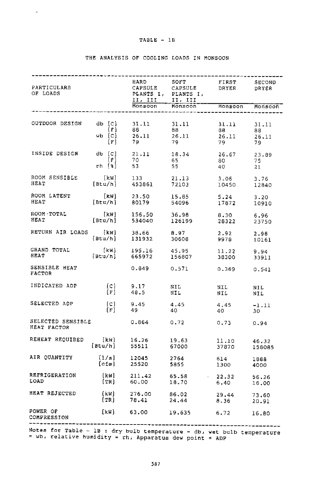$\mathbf{q}^{\prime}$ 

| PARTICULARS<br>OF LOADS                                  |                                     | II, III II, III<br>Monsoon                                                                          | HARD SOFT FIRST SECOND<br>CAPSULE CAPSULE DRYER DRYER<br>PLANTS I, PLANTS I,<br>Monsoon                              | Monsoon                                      | SECOND<br>Monsoon          |
|----------------------------------------------------------|-------------------------------------|-----------------------------------------------------------------------------------------------------|----------------------------------------------------------------------------------------------------------------------|----------------------------------------------|----------------------------|
| OUTDOOR DESIGN $db [c]$ 31.11 31.11                      |                                     | $\begin{array}{cccc} [F] & 88 & 88 \\ \text{wb} & [C] & 26.11 & 26.11 \\ [F] & 79 & 79 \end{array}$ |                                                                                                                      | 31.11<br>88 - 10<br>$\frac{26.11}{70}$<br>79 | 31.11<br>88<br>26.11<br>79 |
| 18.34 db [C] 21.11 18.34<br>P] 70 65<br>rh [\$] 53 55    |                                     |                                                                                                     |                                                                                                                      | 26.67<br>80<br>80<br>40                      | 23.89<br>75<br>21          |
| ROOM SENSIBLE<br>HEAT                                    |                                     |                                                                                                     | [kW] 133 21.13 3.06 3.76<br>[Btu/h] 453861 72103 10450 12840                                                         |                                              |                            |
| ROOM LATENT<br>HEAT                                      |                                     | (kW) 23.50<br>[Btu/h] 80179                                                                         | 15.85<br>54096 17872 10910                                                                                           | 5.24                                         | 3.20                       |
| ROOM TOTAL<br>HEAT                                       |                                     | (kW) 156.50 36.98<br>(Btu/h) 534040 126199                                                          | 126199                                                                                                               | 8.30<br>28322                                | 6.96<br>23750              |
| RETURN AIR LOADS [kw] 38.66 8.97<br>[Btu/h] 131932 30608 |                                     |                                                                                                     |                                                                                                                      | 2.92<br>9978                                 | 2.98<br>10161              |
| GRAND TOTAL<br><b>HEAT</b>                               |                                     | (kW) 195.16 45.95<br>(Btu/h) 665972 156807                                                          | 156807                                                                                                               | 11.22 9.94<br>38300 33911                    |                            |
| SENSIBLE HEAT<br>FACTOR                                  |                                     | 0.849                                                                                               | 0.571                                                                                                                | $0.369$ $0.541$                              |                            |
| INDICATED ADP                                            |                                     | [C] 9.17 NIL<br>[F] 48.5 NIL                                                                        |                                                                                                                      | NIL<br>NIL.                                  | NIL.<br>NIL                |
| SELECTED ADP                                             |                                     |                                                                                                     | $[\begin{array}{cccc} [C] & 9.45 & 4.45 & 4.45 \end{array}$<br>$[\begin{array}{cccc} [F] & 49 & 40 & 40 \end{array}$ | 40                                           | $-1.11$<br>30              |
| SELECTED SENSIBLE<br>HEAT FACTOR                         |                                     | 0.864                                                                                               | 0, 72                                                                                                                | $0.73$ $0.94$                                |                            |
| REHEAT REQUIRED [kW] 16.26<br>[Btu/h] 55511              |                                     |                                                                                                     | 19.63<br>55511 67000                                                                                                 | 11.10<br>37870                               | 46.32<br>158085            |
| AIR OUANTITY                                             | (1/s) 12045<br>(cfm) 25520<br>[cfm] |                                                                                                     | 2764<br>5855                                                                                                         | 614<br>1300                                  | 1888<br>4000               |
| REFRIGERATION<br>LOAD                                    |                                     |                                                                                                     | (kW) 211.42 65.58 - 22.32<br>[TR] 60.00 18.70 - 6.40                                                                 |                                              | 56.26<br>16.00             |
| HEAT REJECTED                                            | [kW]                                | $\begin{array}{cc} (NN) & 276.00 \\ [TR] & 78.43 \end{array}$<br>78.41                              | 86.02<br>24.44                                                                                                       | 29.44<br>8.36                                | 73.60<br>20.91             |
| POWER OF<br>COMPRESSION                                  | [kW]                                |                                                                                                     | 63.00 19.635 6.72                                                                                                    |                                              | 16.80                      |
| Notes for $B = 10$ , $\frac{1}{2}$                       |                                     |                                                                                                     |                                                                                                                      |                                              |                            |

#### THE ANALYSIS OF COOLING LOADS IN MONSOON

Notes for Table - 1B : dry bulb temperature = db, wet bulb temperature<br>= wb, relative humidity = rh, Apparatus dew point = ADP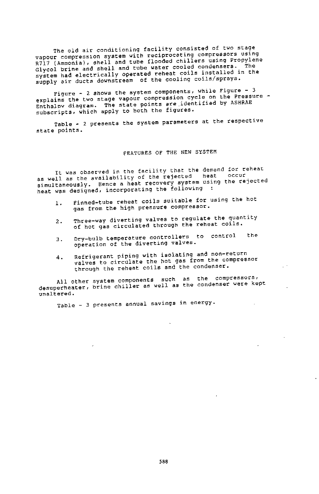The old air conditioning facility consisted of two stage vapour compress1on system with reciprocating compressors using R717 (Ammonia), shell and tube flooded chillers using Propylene<br>R717 (Ammonia), shell and tube flooded child condensers. The Glycol brine and shell and tube water cooled condensers. system had electrically operated reheat coils installed in the supply air ducts downstream of the cooling coils/sprays.

Figure- <sup>2</sup>shows the system components, while Figure- <sup>3</sup> explains the two stage vapour compression cycle on the Pressure - Enthalov diagram. The state points are .identified by ASHRAE subscripts, which apply to both the figures.

Table - 2 presents the system parameters at the respective state points.

#### FEATURES OF THE NEW SYSTEM

It was observed in the facility that the demand for reheat as well as the availability of the rejected heat occur simultaneously. Hence a heat recovery system using the rejected heat was designed, incorporating the following

- 1. Finned-tube reheat coils suitable for using the hot gas from the high pressure compressor.
- 2. Three-way diverting valves to regulate the quantity of hot gas circulated through the reheat coils.
- 3- Dry-bulb temperature controllers to control operation of the diverting valves. the
- 4. Refrigerant piping with isolating and non-return valves to circulate the hot gas from the compressor through the reheat coils and the condenser.

All other system components such as the compressors, desuperheater, brine chiller as well as the condenser were kept unaltered.

Table - <sup>3</sup>presents annual savings in energy.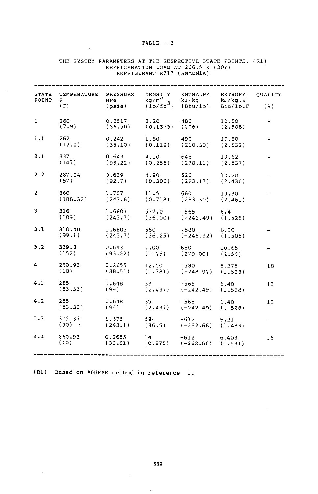#### $TABLE - 2$

 $\cdot$ 

| STATE<br>POINT | TEMPERATURE<br>K.                                                                 | PRESSURE<br>MPa                                                  | DENSITY<br>$\frac{kg/m^3}{(1b/ft^3)}$ | ENTHALPY<br>$kJ/kg$<br>(Btu/lb) Btu/lb.F           | ENTROPY          | CUALITY |  |
|----------------|-----------------------------------------------------------------------------------|------------------------------------------------------------------|---------------------------------------|----------------------------------------------------|------------------|---------|--|
|                | (F)                                                                               | (psia)                                                           |                                       |                                                    | Btu/1b.F         | (%)     |  |
| $\mathbf{1}$   | 260<br>(7.9)                                                                      |                                                                  |                                       |                                                    | 10.50<br>(2.508) |         |  |
| $1 - 1$        | 262<br>(12.0)                                                                     | 0.242 1.80 490 10.60<br>(35.10) (0.112) (210.30) (2.532)         |                                       |                                                    |                  |         |  |
| 2.1            | 337<br>(147)                                                                      | $0.643$ $4.10$ $648$ $10.62$<br>(93.22) (0.256) (278.11) (2.537) |                                       |                                                    |                  |         |  |
| $2 - 2$        | 287.04<br>(57)                                                                    | 0.639                                                            | 4.90                                  | $(92.7)$ $(0.306)$ $(223.17)$ $(2.436)$            | 10.20            |         |  |
| $\overline{2}$ | 360 1.707 11.5 660 10.30<br>(188.33) (247.6) (0.718) (283.30) (2.461)             |                                                                  |                                       |                                                    |                  |         |  |
| 3              | 316<br>(109)                                                                      | $1.6803$ 577.0 -565 6.4                                          |                                       | $(243.7)$ $(36.00)$ $(-242.49)$ $(1.528)$          |                  |         |  |
| 3.1            | $(99.1) \t1.6803 \t580 \t-580 \t6.30$<br>(99.1) (243.7) (36.25) (-248.92) (1.505) |                                                                  |                                       |                                                    |                  |         |  |
| $3 - 2$        | 339.8 0.643 4.00 650<br>(152)                                                     | $(93.22)$ $(0.25)$ $(279.00)$ $(2.54)$                           |                                       |                                                    | 10.65            |         |  |
| $4 -$          | 260.93 0.2655 12.50 -580 6.375<br>(10)                                            | $(38.51)$ $(0.781)$ $(-248.92)$ $(1.523)$                        |                                       |                                                    |                  | 18      |  |
| 4.1            | 285 7<br>(53.33)                                                                  | $0.648$ 39 -565 6.40<br>$(94)$ $(2.437)$ $(-242.49)$ $(1.528)$   |                                       |                                                    |                  | 13      |  |
| 4.2            | 285<br>(53.33)                                                                    | 0.648<br>$(94)$ $(2.437)$ $(-242.49)$ $(1.528)$                  | $39 - 12$                             | $-565$ 6,40                                        |                  | 13      |  |
| 3.3            | 305.37 1.676<br>(90)                                                              | (243.1)                                                          |                                       | $584 -612$ 6.21<br>$(36.5)$ $(-262.66)$ $(1.483)$  |                  |         |  |
| 4.4            | 260.93<br>(10)                                                                    | 0.2655<br>(38.51)                                                |                                       | $14 -612$ 6.409<br>$(0.875)$ $(-262.66)$ $(1.531)$ |                  | 16      |  |
|                |                                                                                   |                                                                  |                                       |                                                    |                  |         |  |

## THE SYSTEM PARAMETERS AT THE RESPECTIVE STATE POINTS. (R1) REFRIGERATION LOAD AT 266.5 K (20F) REFRIGERANT R717 (AMMONIA)

(R1) Based on ASHRAE method in reference 1.

 $\lambda$ 

589

 $\Box$ 

 $\ddot{\phantom{a}}$ 

 $\alpha$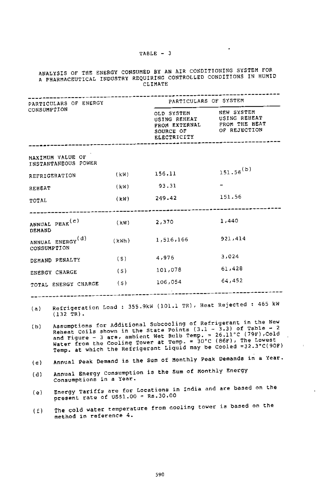#### 'rABLE - 3

 $\sim$   $\sim$ 

 $\sim$ 

 $\mathbf{r}$ 

 $\overline{\phantom{a}}$ 

### ANALYSIS OF THE ENERGY CONSUMED BY AN AIR CONDITIONING SYSTEM FOR A PHARMACEUTICAL INDUSTRY REQUIRING CONTROLLED CONDITIONS IN HUMID CLIMATE

| PARTICULARS OF ENERGY<br>CONSUMPTION |                                         | PARTICULARS OF SYSTEM |                                                        |                                                                                                                                                                                                                                                                                                                                                |  |  |
|--------------------------------------|-----------------------------------------|-----------------------|--------------------------------------------------------|------------------------------------------------------------------------------------------------------------------------------------------------------------------------------------------------------------------------------------------------------------------------------------------------------------------------------------------------|--|--|
|                                      |                                         |                       | ELECTRICITY                                            | OLD SYSTEM NEW SYSTEM<br>USING REHEAT USING REHEAT<br>FROM EXTERNAL FROM THE HEAT<br>SOURCE OF OF REJECTION                                                                                                                                                                                                                                    |  |  |
|                                      | MAXIMUM VALUE OF<br>INSTANTANEOUS POWER |                       |                                                        |                                                                                                                                                                                                                                                                                                                                                |  |  |
|                                      | REFRIGERATION                           |                       | $(kW)$ 156.11                                          | $151.56^{(b)}$                                                                                                                                                                                                                                                                                                                                 |  |  |
| REHEAT                               |                                         | (kW)                  | 93.31                                                  |                                                                                                                                                                                                                                                                                                                                                |  |  |
| TOTAL                                |                                         |                       | $(kW)$ 249.42                                          | 151.56                                                                                                                                                                                                                                                                                                                                         |  |  |
| DEMAND                               | ANNUAL PEAK <sup>(c)</sup>              |                       | $(kW)$ 2,370                                           | 1,440                                                                                                                                                                                                                                                                                                                                          |  |  |
| CONSUMPTION                          | ANNUAL ENERGY <sup>(d)</sup>            | (kWh)                 | 1,516,166                                              | 921,414                                                                                                                                                                                                                                                                                                                                        |  |  |
|                                      | DEMAND PENALTY (\$)                     |                       | 4,976                                                  | 3,024                                                                                                                                                                                                                                                                                                                                          |  |  |
|                                      | ENERGY CHARGE                           | (s)                   | 101,078                                                | 61,428                                                                                                                                                                                                                                                                                                                                         |  |  |
|                                      | TOTAL ENERGY CHARGE (S)                 |                       | 106,054                                                | 64,452                                                                                                                                                                                                                                                                                                                                         |  |  |
|                                      | $(132 \text{ TR})$ .                    |                       |                                                        | (a) Refrigeration Load : 355.9kW (101.1 TR), Heat Rejected : 465 kW                                                                                                                                                                                                                                                                            |  |  |
| (b)                                  |                                         |                       |                                                        | Assumptions for Additional Subcooling of Refrigerant in the New<br>Reheat Coils shown in the State Points $(3.1 - 3.3)$ of Table - 2<br>and Figure - 3 are, ambient Wet Bulb Temp. = 26.11°C (79F), Cold<br>Water from the Cooling Tower at Temp. = 30°C (86F), The Lowest<br>Temp. at which the Refrigerant Liquid may be Cooled =32.3°C(90F) |  |  |
| (c)                                  |                                         |                       |                                                        | Annual Peak Demand is the Sum of Monthly Peak Demands in a Year.                                                                                                                                                                                                                                                                               |  |  |
| (d)                                  | Consumptions in a Year.                 |                       | Annual Energy Consumption is the Sum of Monthly Energy |                                                                                                                                                                                                                                                                                                                                                |  |  |
| (e)                                  | present rate of US\$1.00 = Rs.30.00     |                       |                                                        | Energy Tariffs are for Locations in India and are based on the                                                                                                                                                                                                                                                                                 |  |  |
| $\mathbf{r}$                         |                                         |                       |                                                        | The cold water temperature from cooling tower is based on the                                                                                                                                                                                                                                                                                  |  |  |

 $(f)$  The cold water temperat method in reference 4.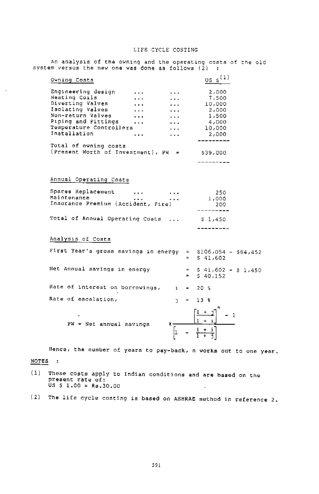#### LIFE CYCLE COSTING

| system versus the new one was done as follows (2) $\,$ : |                                                             |                             |              |                     | .porgang acces                  |  |  |
|----------------------------------------------------------|-------------------------------------------------------------|-----------------------------|--------------|---------------------|---------------------------------|--|--|
| Owning Costs                                             |                                                             |                             |              |                     | $\mathbf{u}$ s s <sup>(1)</sup> |  |  |
|                                                          | Engineering design                                          |                             |              |                     | 2,000                           |  |  |
| Heating Coils                                            |                                                             |                             |              |                     | 7,500                           |  |  |
| Diverting Valves                                         |                                                             |                             |              |                     | 10,000                          |  |  |
|                                                          | Isolating Valves                                            |                             |              |                     | 2,000                           |  |  |
| Non-return Valves                                        |                                                             |                             |              |                     | 1,500                           |  |  |
|                                                          | Piping and Fittings                                         |                             |              |                     | 4,000                           |  |  |
|                                                          | Temperature Controllers                                     |                             |              |                     | 10,000                          |  |  |
| Installation                                             |                                                             | $\cdots$                    |              |                     | 2,000                           |  |  |
|                                                          |                                                             |                             |              |                     |                                 |  |  |
|                                                          | Total of owning costs                                       |                             |              |                     |                                 |  |  |
|                                                          | (Present Worth of Investment), PW =                         |                             |              |                     |                                 |  |  |
|                                                          |                                                             |                             |              |                     | \$39,000                        |  |  |
|                                                          |                                                             |                             |              |                     |                                 |  |  |
|                                                          |                                                             |                             |              |                     |                                 |  |  |
|                                                          |                                                             |                             |              |                     |                                 |  |  |
|                                                          | Annual Operating Costs                                      |                             |              |                     |                                 |  |  |
|                                                          | Spares Replacement                                          |                             |              |                     |                                 |  |  |
| Maintenance                                              |                                                             | $\sim$ $\sim$ $\sim$ $\sim$ |              |                     | 250                             |  |  |
|                                                          | Insurance Premium (Accident, Fire)                          |                             |              |                     | 1,000                           |  |  |
|                                                          |                                                             |                             |              |                     | 200                             |  |  |
|                                                          |                                                             |                             |              |                     |                                 |  |  |
|                                                          | Total of Annual Operating Costs                             |                             |              |                     | \$1,450                         |  |  |
|                                                          |                                                             |                             |              |                     |                                 |  |  |
| Analysis of Costs                                        |                                                             |                             |              |                     |                                 |  |  |
|                                                          | First Year's gross savings in energy = \$106,054 - \$64,452 |                             |              |                     |                                 |  |  |
|                                                          |                                                             |                             |              |                     |                                 |  |  |
|                                                          |                                                             |                             |              |                     | $=$ \$ 41,602                   |  |  |
|                                                          | Net Annual savings in energy                                |                             |              |                     |                                 |  |  |
|                                                          |                                                             |                             |              | $=$ $-$<br>$\equiv$ | $$41,602 - $1,450$              |  |  |
|                                                          |                                                             |                             |              |                     | \$40,152                        |  |  |
|                                                          | Rate of interest on borrowings,                             |                             | $\mathbf{1}$ | $= 20$ %            |                                 |  |  |
|                                                          |                                                             |                             |              |                     |                                 |  |  |
|                                                          | Rate of escalation,                                         |                             | $\mathbf{L}$ | $\mathbf{m}$        | 13 <sub>8</sub>                 |  |  |
|                                                          |                                                             |                             |              |                     |                                 |  |  |
|                                                          |                                                             |                             |              |                     |                                 |  |  |
|                                                          |                                                             |                             |              |                     |                                 |  |  |
|                                                          | PW = Net annual savings                                     |                             | $x -$        |                     |                                 |  |  |
|                                                          |                                                             |                             | İι           |                     |                                 |  |  |
|                                                          |                                                             |                             |              |                     |                                 |  |  |

An analysis of the owning and the operating costs of the old

Hence, the number of years to pay-back, n works out to one year.

#### NOTES :

 $\overline{\phantom{a}}$ 

- (1) These costs apply to Indian conditions and are based on the present rate of;<br>US \$ 1.00 = Rs.30.00 l.
- (2) The life cycle costing is based on ASHRAE method in reference 2.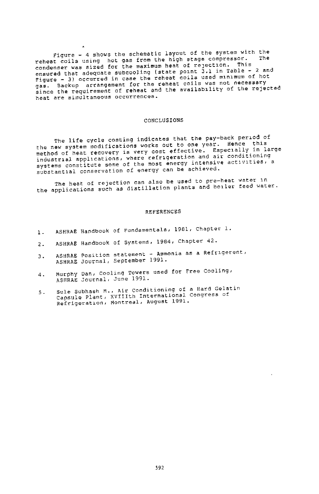Figure  $-$  4 shows the schematic layout of the system with the reheat coils using hot gas from the high stage compressor. condenser was sized for the maximum heat of rejection. This ensured that adequate subcooling (state point 3.1 in Table - 2 and Figure - 3) occurred in case the reheat coils used m1n1mum of hot gas. Backup arrangement for the reheat coils was not necessary gas. Dashup arrangement of reheat and the availability of the rejected **heat are simultaneous occurrences.** 

#### CONCLUSIONS

The life cycle costing indicates that the pay-back period of<br>the new system modifications works out to one year. Hence this<br>label the label lie hew system moderness very cost effective. Especially in large<br>method of heat recovery is very cost effective. Especially in large<br>industrial applications, where refrigeration and air conductions systems constitute some of the most energy intensive activities, a substantial conservation of energy can be achieved.

the heat of rejection can also be used to pre-heat water 1n the applications such as distillation plants and boiler feed water.

#### REFERENCES

- l. ASHRAE Handbook of Fundamentals, 1981, Chapter l.
- 2. ASHRAE Handbook of Systems, 1984, Chapter 42.
- 3. ASHRAE Position statement - Ammonia as a Refrigerent, ASHRAE Journal, September 1991.
- 4. Murphy Dan, Cooling Towers used for Free Cooling, ASHRAE Journal, June 1991.
- 5. Sule Subhash M., Air conditioninq of a Hard Gelatin Capsule Plant, XVIIIth International Congress of Refrigeratlon, Montreal, August 1991.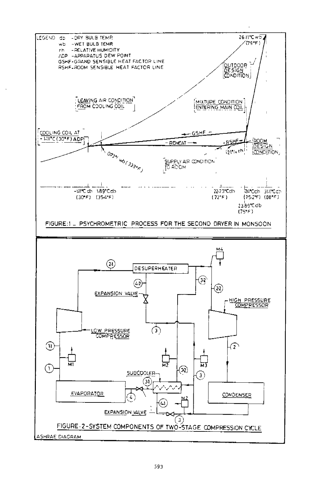